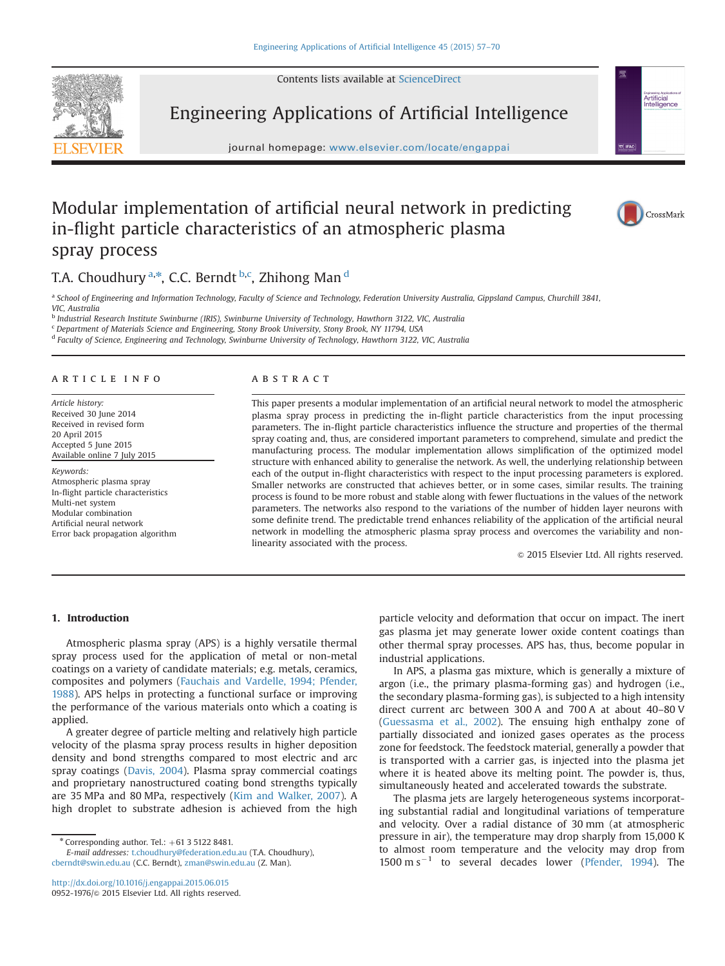Contents lists available at [ScienceDirect](www.sciencedirect.com/science/journal/09521976)



Engineering Applications of Artificial Intelligence

journal homepage: <www.elsevier.com/locate/engappai>

# Modular implementation of artificial neural network in predicting in-flight particle characteristics of an atmospheric plasma spray process



CrossMark

Artificial Artificial<br>Intelligence

## T.A. Choudhury <sup>a,\*</sup>, C.C. Berndt <sup>b,c</sup>, Zhihong Man <sup>d</sup>

a School of Engineering and Information Technology, Faculty of Science and Technology, Federation University Australia, Gippsland Campus, Churchill 3841, VIC, Australia

<sup>b</sup> Industrial Research Institute Swinburne (IRIS), Swinburne University of Technology, Hawthorn 3122, VIC, Australia

<sup>c</sup> Department of Materials Science and Engineering, Stony Brook University, Stony Brook, NY 11794, USA

<sup>d</sup> Faculty of Science, Engineering and Technology, Swinburne University of Technology, Hawthorn 3122, VIC, Australia

#### article info

Article history: Received 30 June 2014 Received in revised form 20 April 2015 Accepted 5 June 2015 Available online 7 July 2015

Keywords: Atmospheric plasma spray In-flight particle characteristics Multi-net system Modular combination Artificial neural network Error back propagation algorithm

#### **ABSTRACT**

This paper presents a modular implementation of an artificial neural network to model the atmospheric plasma spray process in predicting the in-flight particle characteristics from the input processing parameters. The in-flight particle characteristics influence the structure and properties of the thermal spray coating and, thus, are considered important parameters to comprehend, simulate and predict the manufacturing process. The modular implementation allows simplification of the optimized model structure with enhanced ability to generalise the network. As well, the underlying relationship between each of the output in-flight characteristics with respect to the input processing parameters is explored. Smaller networks are constructed that achieves better, or in some cases, similar results. The training process is found to be more robust and stable along with fewer fluctuations in the values of the network parameters. The networks also respond to the variations of the number of hidden layer neurons with some definite trend. The predictable trend enhances reliability of the application of the artificial neural network in modelling the atmospheric plasma spray process and overcomes the variability and nonlinearity associated with the process.

 $\odot$  2015 Elsevier Ltd. All rights reserved.

### 1. Introduction

Atmospheric plasma spray (APS) is a highly versatile thermal spray process used for the application of metal or non-metal coatings on a variety of candidate materials; e.g. metals, ceramics, composites and polymers (Fauchais and Vardelle, 1994; Pfender, 1988). APS helps in protecting a functional surface or improving the performance of the various materials onto which a coating is applied.

A greater degree of particle melting and relatively high particle velocity of the plasma spray process results in higher deposition density and bond strengths compared to most electric and arc spray coatings (Davis, 2004). Plasma spray commercial coatings and proprietary nanostructured coating bond strengths typically are 35 MPa and 80 MPa, respectively (Kim and Walker, 2007). A high droplet to substrate adhesion is achieved from the high

E-mail addresses: [t.choudhury@federation.edu.au](mailto:t.choudhury@federation.edu.au) (T.A. Choudhury), [cberndt@swin.edu.au](mailto:cberndt@swin.edu.au) (C.C. Berndt), [zman@swin.edu.au](mailto:zman@swin.edu.au) (Z. Man).

<http://dx.doi.org/10.1016/j.engappai.2015.06.015> 0952-1976/© 2015 Elsevier Ltd. All rights reserved. particle velocity and deformation that occur on impact. The inert gas plasma jet may generate lower oxide content coatings than other thermal spray processes. APS has, thus, become popular in industrial applications.

In APS, a plasma gas mixture, which is generally a mixture of argon (i.e., the primary plasma-forming gas) and hydrogen (i.e., the secondary plasma-forming gas), is subjected to a high intensity direct current arc between 300 A and 700 A at about 40–80 V (Guessasma et al., 2002). The ensuing high enthalpy zone of partially dissociated and ionized gases operates as the process zone for feedstock. The feedstock material, generally a powder that is transported with a carrier gas, is injected into the plasma jet where it is heated above its melting point. The powder is, thus, simultaneously heated and accelerated towards the substrate.

The plasma jets are largely heterogeneous systems incorporating substantial radial and longitudinal variations of temperature and velocity. Over a radial distance of 30 mm (at atmospheric pressure in air), the temperature may drop sharply from 15,000 K to almost room temperature and the velocity may drop from  $1500 \text{ m s}^{-1}$  to several decades lower (Pfender, 1994). The

 $*$  Corresponding author. Tel.:  $+61$  3 5122 8481.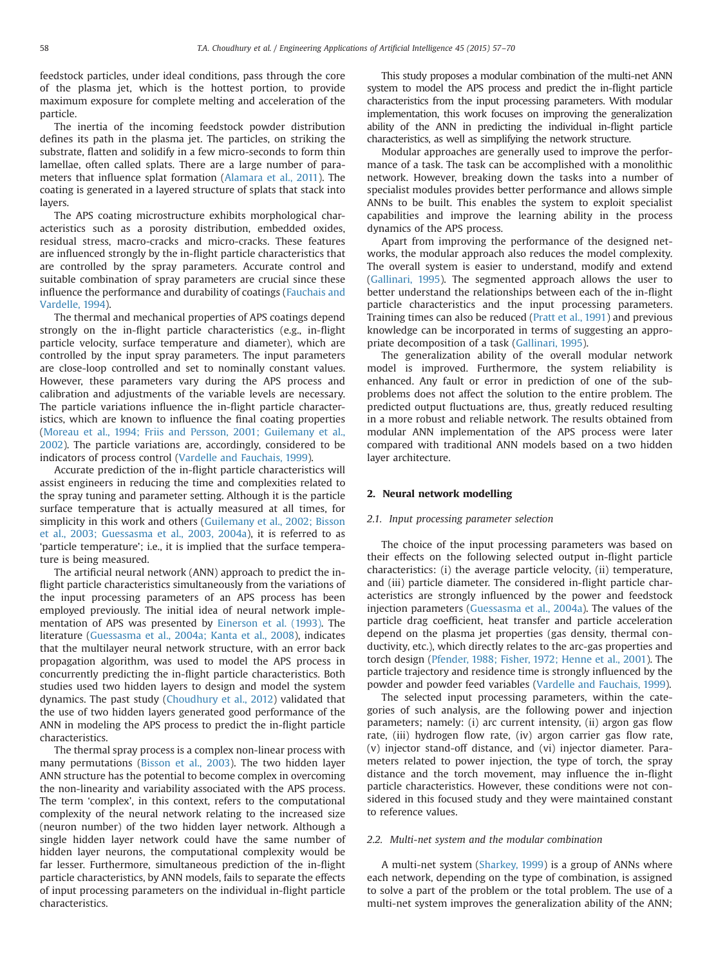feedstock particles, under ideal conditions, pass through the core of the plasma jet, which is the hottest portion, to provide maximum exposure for complete melting and acceleration of the particle.

The inertia of the incoming feedstock powder distribution defines its path in the plasma jet. The particles, on striking the substrate, flatten and solidify in a few micro-seconds to form thin lamellae, often called splats. There are a large number of parameters that influence splat formation (Alamara et al., 2011). The coating is generated in a layered structure of splats that stack into layers.

The APS coating microstructure exhibits morphological characteristics such as a porosity distribution, embedded oxides, residual stress, macro-cracks and micro-cracks. These features are influenced strongly by the in-flight particle characteristics that are controlled by the spray parameters. Accurate control and suitable combination of spray parameters are crucial since these influence the performance and durability of coatings (Fauchais and Vardelle, 1994).

The thermal and mechanical properties of APS coatings depend strongly on the in-flight particle characteristics (e.g., in-flight particle velocity, surface temperature and diameter), which are controlled by the input spray parameters. The input parameters are close-loop controlled and set to nominally constant values. However, these parameters vary during the APS process and calibration and adjustments of the variable levels are necessary. The particle variations influence the in-flight particle characteristics, which are known to influence the final coating properties (Moreau et al., 1994; Friis and Persson, 2001; Guilemany et al., 2002). The particle variations are, accordingly, considered to be indicators of process control (Vardelle and Fauchais, 1999).

Accurate prediction of the in-flight particle characteristics will assist engineers in reducing the time and complexities related to the spray tuning and parameter setting. Although it is the particle surface temperature that is actually measured at all times, for simplicity in this work and others (Guilemany et al., 2002; Bisson et al., 2003; Guessasma et al., 2003, 2004a), it is referred to as 'particle temperature'; i.e., it is implied that the surface temperature is being measured.

The artificial neural network (ANN) approach to predict the inflight particle characteristics simultaneously from the variations of the input processing parameters of an APS process has been employed previously. The initial idea of neural network implementation of APS was presented by Einerson et al. (1993). The literature (Guessasma et al., 2004a; Kanta et al., 2008), indicates that the multilayer neural network structure, with an error back propagation algorithm, was used to model the APS process in concurrently predicting the in-flight particle characteristics. Both studies used two hidden layers to design and model the system dynamics. The past study (Choudhury et al., 2012) validated that the use of two hidden layers generated good performance of the ANN in modeling the APS process to predict the in-flight particle characteristics.

The thermal spray process is a complex non-linear process with many permutations (Bisson et al., 2003). The two hidden layer ANN structure has the potential to become complex in overcoming the non-linearity and variability associated with the APS process. The term 'complex', in this context, refers to the computational complexity of the neural network relating to the increased size (neuron number) of the two hidden layer network. Although a single hidden layer network could have the same number of hidden layer neurons, the computational complexity would be far lesser. Furthermore, simultaneous prediction of the in-flight particle characteristics, by ANN models, fails to separate the effects of input processing parameters on the individual in-flight particle characteristics.

This study proposes a modular combination of the multi-net ANN system to model the APS process and predict the in-flight particle characteristics from the input processing parameters. With modular implementation, this work focuses on improving the generalization ability of the ANN in predicting the individual in-flight particle characteristics, as well as simplifying the network structure.

Modular approaches are generally used to improve the performance of a task. The task can be accomplished with a monolithic network. However, breaking down the tasks into a number of specialist modules provides better performance and allows simple ANNs to be built. This enables the system to exploit specialist capabilities and improve the learning ability in the process dynamics of the APS process.

Apart from improving the performance of the designed networks, the modular approach also reduces the model complexity. The overall system is easier to understand, modify and extend (Gallinari, 1995). The segmented approach allows the user to better understand the relationships between each of the in-flight particle characteristics and the input processing parameters. Training times can also be reduced (Pratt et al., 1991) and previous knowledge can be incorporated in terms of suggesting an appropriate decomposition of a task (Gallinari, 1995).

The generalization ability of the overall modular network model is improved. Furthermore, the system reliability is enhanced. Any fault or error in prediction of one of the subproblems does not affect the solution to the entire problem. The predicted output fluctuations are, thus, greatly reduced resulting in a more robust and reliable network. The results obtained from modular ANN implementation of the APS process were later compared with traditional ANN models based on a two hidden layer architecture.

### 2. Neural network modelling

#### 2.1. Input processing parameter selection

The choice of the input processing parameters was based on their effects on the following selected output in-flight particle characteristics: (i) the average particle velocity, (ii) temperature, and (iii) particle diameter. The considered in-flight particle characteristics are strongly influenced by the power and feedstock injection parameters (Guessasma et al., 2004a). The values of the particle drag coefficient, heat transfer and particle acceleration depend on the plasma jet properties (gas density, thermal conductivity, etc.), which directly relates to the arc-gas properties and torch design (Pfender, 1988; Fisher, 1972; Henne et al., 2001). The particle trajectory and residence time is strongly influenced by the powder and powder feed variables (Vardelle and Fauchais, 1999).

The selected input processing parameters, within the categories of such analysis, are the following power and injection parameters; namely: (i) arc current intensity, (ii) argon gas flow rate, (iii) hydrogen flow rate, (iv) argon carrier gas flow rate, (v) injector stand-off distance, and (vi) injector diameter. Parameters related to power injection, the type of torch, the spray distance and the torch movement, may influence the in-flight particle characteristics. However, these conditions were not considered in this focused study and they were maintained constant to reference values.

#### 2.2. Multi-net system and the modular combination

A multi-net system (Sharkey, 1999) is a group of ANNs where each network, depending on the type of combination, is assigned to solve a part of the problem or the total problem. The use of a multi-net system improves the generalization ability of the ANN;